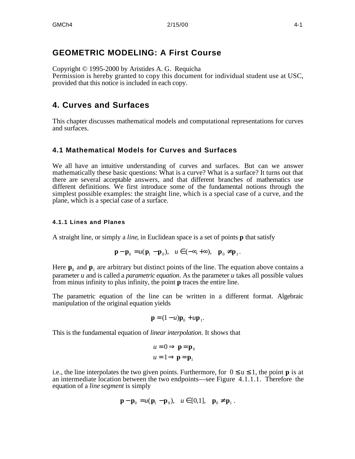# **GEOMETRIC MODELING: A First Course**

Copyright © 1995-2000 by Aristides A. G. Requicha Permission is hereby granted to copy this document for individual student use at USC, provided that this notice is included in each copy.

# **4. Curves and Surfaces**

This chapter discusses mathematical models and computational representations for curves and surfaces.

# **4.1 Mathematical Models for Curves and Surfaces**

We all have an intuitive understanding of curves and surfaces. But can we answer mathematically these basic questions: What is a curve? What is a surface? It turns out that there are several acceptable answers, and that different branches of mathematics use different definitions. We first introduce some of the fundamental notions through the simplest possible examples: the straight line, which is a special case of a curve, and the plane, which is a special case of a surface.

## **4.1.1 Lines and Planes**

A straight line, or simply a *line*, in Euclidean space is a set of points **p** that satisfy

$$
\mathbf{p} - \mathbf{p}_0 = u(\mathbf{p}_1 - \mathbf{p}_0), \quad u \quad (-, +), \quad \mathbf{p}_0 \quad \mathbf{p}_1.
$$

Here  $\mathbf{p}_0$  and  $\mathbf{p}_1$  are arbitrary but distinct points of the line. The equation above contains a parameter *u* and is called a *parametric equation*. As the parameter *u* takes all possible values from minus infinity to plus infinity, the point **p** traces the entire line.

The parametric equation of the line can be written in a different format. Algebraic manipulation of the original equation yields

$$
\mathbf{p} = (1 - u)\mathbf{p}_0 + u\mathbf{p}_1.
$$

This is the fundamental equation of *linear interpolation*. It shows that

$$
u = 0 \qquad \mathbf{p} = \mathbf{p}_0
$$

$$
u = 1 \qquad \mathbf{p} = \mathbf{p}_1
$$

i.e., the line interpolates the two given points. Furthermore, for  $0 \text{ u}$  1, the point **p** is at an intermediate location between the two endpoints—see Figure 4.1.1.1. Therefore the equation of a *line segment* is simply

$$
\mathbf{p} - \mathbf{p}_0 = u(\mathbf{p}_1 - \mathbf{p}_0), \quad u \quad [0,1], \quad \mathbf{p}_0 \quad \mathbf{p}_1 \; .
$$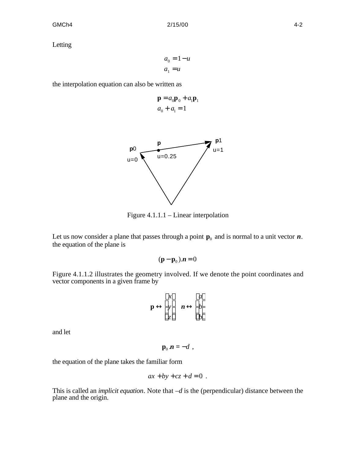Letting

*a*<sup>0</sup> = 1− *u*  $a_1 = u$ 

the interpolation equation can also be written as

$$
\mathbf{p} = a_0 \mathbf{p}_0 + a_1 \mathbf{p}_1
$$
  

$$
a_0 + a_1 = 1
$$



Figure 4.1.1.1 – Linear interpolation

Let us now consider a plane that passes through a point  $\mathbf{p}_0$  and is normal to a unit vector  $\boldsymbol{n}$ . the equation of the plane is

$$
(\mathbf{p} - \mathbf{p}_0). \mathbf{n} = 0
$$

Figure 4.1.1.2 illustrates the geometry involved. If we denote the point coordinates and vector components in a given frame by

$$
\begin{array}{ccc}\nx & a \\
\mathbf{p} & y & \mathbf{n} & b \\
z & b\n\end{array}
$$

and let

 $\mathbf{p}_0 \cdot \mathbf{n} = -d$ ,

the equation of the plane takes the familiar form

$$
ax + by + cz + d = 0.
$$

This is called an *implicit equation*. Note that –*d* is the (perpendicular) distance between the plane and the origin.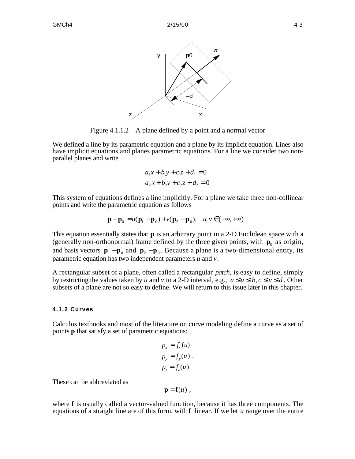

Figure 4.1.1.2 – A plane defined by a point and a normal vector

We defined a line by its parametric equation and a plane by its implicit equation. Lines also have implicit equations and planes parametric equations. For a line we consider two nonparallel planes and write

$$
a_1x + b_1y + c_1z + d_1 = 0
$$
  

$$
a_2x + b_2y + c_2z + d_2 = 0
$$

This system of equations defines a line implicitly. For a plane we take three non-collinear points and write the parametric equation as follows

$$
\mathbf{p} - \mathbf{p}_0 = u(\mathbf{p}_1 - \mathbf{p}_0) + v(\mathbf{p}_2 - \mathbf{p}_0), \quad u, v \quad (-, +)
$$

This equation essentially states that **p** is an arbitrary point in a 2-D Euclidean space with a (generally non-orthonormal) frame defined by the three given points, with  $\mathbf{p}_0$  as origin, and basis vectors  $\mathbf{p}_1 - \mathbf{p}_0$  and  $\mathbf{p}_2 - \mathbf{p}_0$ . Because a plane is a two-dimensional entity, its parametric equation has two independent parameters *u* and *v*.

A rectangular subset of a plane, often called a rectangular *patch*, is easy to define, simply by restricting the values taken by *u* and *v* to a 2-D interval, e.g., *a u b*, *c v d*. Other subsets of a plane are not so easy to define. We will return to this issue later in this chapter.

#### **4.1.2 Curves**

Calculus textbooks and most of the literature on curve modeling define a curve as a set of points **p** that satisfy a set of parametric equations:

$$
p_x = f_x(u)
$$
  
\n
$$
p_y = f_y(u)
$$
  
\n
$$
p_z = f_z(u)
$$

These can be abbreviated as

$$
\mathbf{p} = \mathbf{f}(u) ,
$$

where **f** is usually called a vector-valued function, because it has three components. The equations of a straight line are of this form, with **f** linear. If we let *u* range over the entire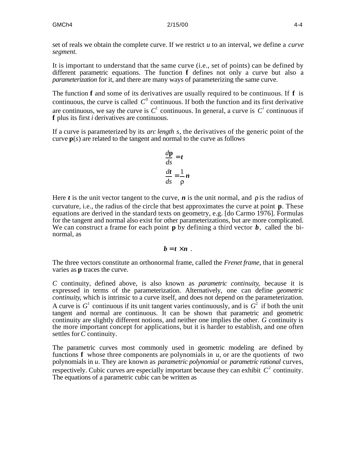set of reals we obtain the complete curve. If we restrict *u* to an interval, we define a *curve segment*.

It is important to understand that the same curve (i.e., set of points) can be defined by different parametric equations. The function **f** defines not only a curve but also a *parameterization* for it, and there are many ways of parameterizing the same curve.

The function **f** and some of its derivatives are usually required to be continuous. If **f** is continuous, the curve is called  $C^0$  continuous. If both the function and its first derivative are continuous, we say the curve is  $C^1$  continuous. In general, a curve is  $C^i$  continuous if **f** plus its first *i* derivatives are continuous.

If a curve is parameterized by its *arc length s*, the derivatives of the generic point of the curve  $\mathbf{p}(s)$  are related to the tangent and normal to the curve as follows

$$
\frac{d\mathbf{p}}{ds} = t
$$

$$
\frac{dt}{ds} = \frac{1}{\rho} n
$$

Here  $t$  is the unit vector tangent to the curve,  $n$  is the unit normal, and  $\rho$  is the radius of curvature, i.e., the radius of the circle that best approximates the curve at point **p**. These equations are derived in the standard texts on geometry, e.g. [do Carmo 1976]. Formulas for the tangent and normal also exist for other parameterizations, but are more complicated. We can construct a frame for each point  $\bf{p}$  by defining a third vector  $\bf{b}$ , called the binormal, as

$$
b=t\times n.
$$

The three vectors constitute an orthonormal frame, called the *Frenet frame*, that in general varies as **p** traces the curve.

*C* continuity, defined above, is also known as *parametric continuity*, because it is expressed in terms of the parameterization. Alternatively, one can define *geometric continuity*, which is intrinsic to a curve itself, and does not depend on the parameterization. A curve is  $G<sup>1</sup>$  continuous if its unit tangent varies continuously, and is  $G<sup>2</sup>$  if both the unit tangent and normal are continuous. It can be shown that parametric and geometric continuity are slightly different notions, and neither one implies the other. *G* continuity is the more important concept for applications, but it is harder to establish, and one often settles for *C* continuity.

The parametric curves most commonly used in geometric modeling are defined by functions **f** whose three components are polynomials in *u*, or are the quotients of two polynomials in *u*. They are known as *parametric polynomial* or *parametric rational* curves, respectively. Cubic curves are especially important because they can exhibit  $C^2$  continuity. The equations of a parametric cubic can be written as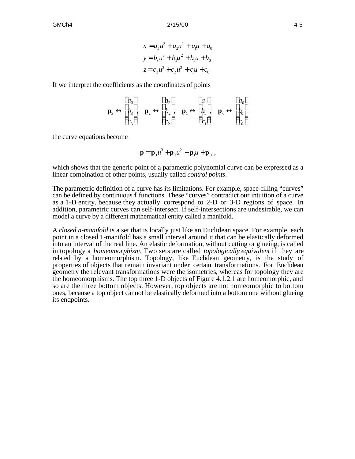$$
x = a_3 u^3 + a_2 u^2 + a_1 u + a_0
$$
  
\n
$$
y = b_3 u^3 + b_2 u^2 + b_1 u + b_0
$$
  
\n
$$
z = c_3 u^3 + c_2 u^2 + c_1 u + c_0
$$

If we interpret the coefficients as the coordinates of points

$$
\begin{array}{ccccccccc}\n & & a_3 & & a_2 & & a_1 & & a_0 \\
 & b_3 & b_3 & b_2 & b_2 & b_1 & b_1 & b_0 & b_0 \\
 & & c_3 & & c_2 & c_1 & c_0\n\end{array}
$$

the curve equations become

$$
\mathbf{p} = \mathbf{p}_3 u^3 + \mathbf{p}_2 u^2 + \mathbf{p}_1 u + \mathbf{p}_0,
$$

which shows that the generic point of a parametric polynomial curve can be expressed as a linear combination of other points, usually called *control points*.

The parametric definition of a curve has its limitations. For example, space-filling "curves" can be defined by continuous **f** functions. These "curves" contradict our intuition of a curve as a 1-D entity, because they actually correspond to 2-D or 3-D regions of space. In addition, parametric curves can self-intersect. If self-intersections are undesirable, we can model a curve by a different mathematical entity called a manifold.

A *closed n-manifold* is a set that is locally just like an Euclidean space. For example, each point in a closed 1-manifold has a small interval around it that can be elastically deformed into an interval of the real line. An elastic deformation, without cutting or glueing, is called in topology a *homeomorphism*. Two sets are called *topologically equivalent* if they are related by a homeomorphism. Topology, like Euclidean geometry, is the study of properties of objects that remain invariant under certain transformations. For Euclidean geometry the relevant transformations were the isometries, whereas for topology they are the homeomorphisms. The top three 1-D objects of Figure 4.1.2.1 are homeomorphic, and so are the three bottom objects. However, top objects are not homeomorphic to bottom ones, because a top object cannot be elastically deformed into a bottom one without glueing its endpoints.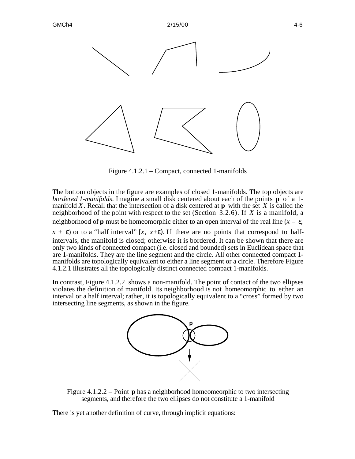

Figure 4.1.2.1 – Compact, connected 1-manifolds

The bottom objects in the figure are examples of closed 1-manifolds. The top objects are *bordered 1-manifolds*. Imagine a small disk centered about each of the points **p** of a 1 manifold *X*. Recall that the intersection of a disk centered at **p** with the set *X* is called the neighborhood of the point with respect to the set (Section 3.2.6). If *X* is a manifold, a neighborhood of **p** must be homeomorphic either to an open interval of the real line  $(x - \theta)$ ,

 $x +$  ) or to a "half interval" [x, x+). If there are no points that correspond to halfintervals, the manifold is closed; otherwise it is bordered. It can be shown that there are only two kinds of connected compact (i.e. closed and bounded) sets in Euclidean space that are 1-manifolds. They are the line segment and the circle. All other connected compact 1 manifolds are topologically equivalent to either a line segment or a circle. Therefore Figure 4.1.2.1 illustrates all the topologically distinct connected compact 1-manifolds.

In contrast, Figure 4.1.2.2 shows a non-manifold. The point of contact of the two ellipses violates the definition of manifold. Its neighborhood is not homeomorphic to either an interval or a half interval; rather, it is topologically equivalent to a "cross" formed by two intersecting line segments, as shown in the figure.



Figure 4.1.2.2 – Point **p** has a neighborhood homeomeorphic to two intersecting segments, and therefore the two ellipses do not constitute a 1-manifold

There is yet another definition of curve, through implicit equations: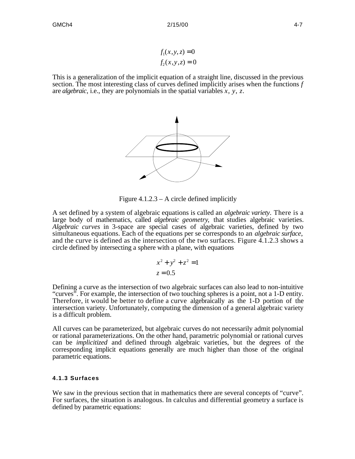$$
f_1(x, y, z) = 0
$$
  

$$
f_2(x, y, z) = 0
$$

This is a generalization of the implicit equation of a straight line, discussed in the previous section. The most interesting class of curves defined implicitly arises when the functions *f* are *algebraic*, i.e., they are polynomials in the spatial variables *x*, *y*, *z*.



Figure 4.1.2.3 – A circle defined implicitly

A set defined by a system of algebraic equations is called an *algebraic variety*. There is a large body of mathematics, called *algebraic geometry*, that studies algebraic varieties. *Algebraic curves* in 3-space are special cases of algebraic varieties, defined by two simultaneous equations. Each of the equations per se corresponds to an *algebraic surface*, and the curve is defined as the intersection of the two surfaces. Figure 4.1.2.3 shows a circle defined by intersecting a sphere with a plane, with equations

$$
x^2 + y^2 + z^2 = 1
$$
  

$$
z = 0.5
$$

Defining a curve as the intersection of two algebraic surfaces can also lead to non-intuitive "curves". For example, the intersection of two touching spheres is a point, not a 1-D entity. Therefore, it would be better to define a curve algebraically as the 1-D portion of the intersection variety. Unfortunately, computing the dimension of a general algebraic variety is a difficult problem.

All curves can be parameterized, but algebraic curves do not necessarily admit polynomial or rational parameterizations. On the other hand, parametric polynomial or rational curves can be *implicitized* and defined through algebraic varieties, but the degrees of the corresponding implicit equations generally are much higher than those of the original parametric equations.

#### **4.1.3 Surfaces**

We saw in the previous section that in mathematics there are several concepts of "curve". For surfaces, the situation is analogous. In calculus and differential geometry a surface is defined by parametric equations: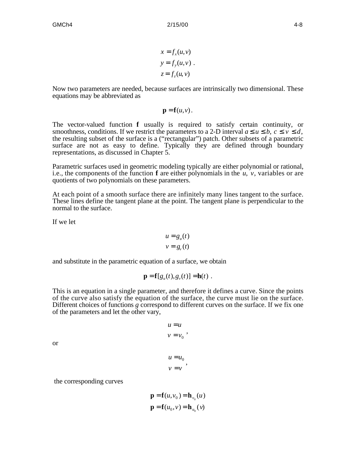$$
x = f_x(u, v)
$$
  
\n
$$
y = f_y(u, v)
$$
  
\n
$$
z = f_z(u, v)
$$

Now two parameters are needed, because surfaces are intrinsically two dimensional. These equations may be abbreviated as

$$
\mathbf{p}=\mathbf{f}(u,v).
$$

The vector-valued function **f** usually is required to satisfy certain continuity, or smoothness, conditions. If we restrict the parameters to a 2-D interval  $a \, u \, b, c \, v \, d$ , the resulting subset of the surface is a ("rectangular") patch. Other subsets of a parametric surface are not as easy to define. Typically they are defined through boundary representations, as discussed in Chapter 5.

Parametric surfaces used in geometric modeling typically are either polynomial or rational, i.e., the components of the function **f** are either polynomials in the *u*, *v*, variables or are quotients of two polynomials on these parameters.

At each point of a smooth surface there are infinitely many lines tangent to the surface. These lines define the tangent plane at the point. The tangent plane is perpendicular to the normal to the surface.

If we let

$$
u = g_u(t)
$$
  

$$
v = g_v(t)
$$

and substitute in the parametric equation of a surface, we obtain

$$
\mathbf{p} = \mathbf{f}[g_u(t), g_v(t)] = \mathbf{h}(t) .
$$

This is an equation in a single parameter, and therefore it defines a curve. Since the points of the curve also satisfy the equation of the surface, the curve must lie on the surface. Different choices of functions *g* correspond to different curves on the surface. If we fix one of the parameters and let the other vary,

> $u = u$  $v = v_0$ <sup>,</sup>

or

$$
u = u_0
$$
  

$$
v = v
$$

the corresponding curves

$$
\mathbf{p} = \mathbf{f}(u, v_0) = \mathbf{h}_{v_0}(u)
$$

$$
\mathbf{p} = \mathbf{f}(u_0, v) = \mathbf{h}_{u_0}(v)
$$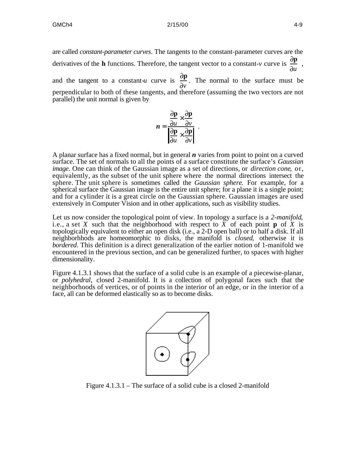are called *constant-parameter curves*. The tangents to the constant-parameter curves are the derivatives of the **h** functions. Therefore, the tangent vector to a constant-*v* curve is  $\frac{\partial \mathbf{p}}{\partial \mathbf{p}}$ *u* , and the tangent to a constant-*u* curve is  $\frac{\partial \mathbf{p}}{\partial x}$ *v* . The normal to the surface must be perpendicular to both of these tangents, and therefore (assuming the two vectors are not parallel) the unit normal is given by

$$
n = \frac{\frac{\partial \mathbf{p}}{\partial u} \times \frac{\partial \mathbf{p}}{\partial v}}{\left| \frac{\partial \mathbf{p}}{\partial u} \times \frac{\partial \mathbf{p}}{\partial v} \right|}.
$$

A planar surface has a fixed normal, but in general *n* varies from point to point on a curved surface. The set of normals to all the points of a surface constitute the surface's *Gaussian image*. One can think of the Gaussian image as a set of directions, or *direction cone*, or, equivalently, as the subset of the unit sphere where the normal directions intersect the sphere. The unit sphere is sometimes called the *Gaussian sphere*. For example, for a spherical surface the Gaussian image is the entire unit sphere; for a plane it is a single point; and for a cylinder it is a great circle on the Gaussian sphere. Gaussian images are used extensively in Computer Vision and in other applications, such as visibility studies.

Let us now consider the topological point of view. In topology a surface is a *2-manifold*, i.e., a set X such that the neighborhood with respect to  $\overline{X}$  of each point **p** of  $\overline{X}$  is topologically equivalent to either an open disk (i.e., a 2-D open ball) or to half a disk. If all neighborhhods are homeomorphic to disks, the manifold is *closed*, otherwise it is *bordered*. This definition is a direct generalization of the earlier notion of 1-manifold we encountered in the previous section, and can be generalized further, to spaces with higher dimensionality.

Figure 4.1.3.1 shows that the surface of a solid cube is an example of a piecewise-planar, or *polyhedral*, closed 2-manifold. It is a collection of polygonal faces such that the neighborhoods of vertices, or of points in the interior of an edge, or in the interior of a face, all can be deformed elastically so as to become disks.



Figure 4.1.3.1 – The surface of a solid cube is a closed 2-manifold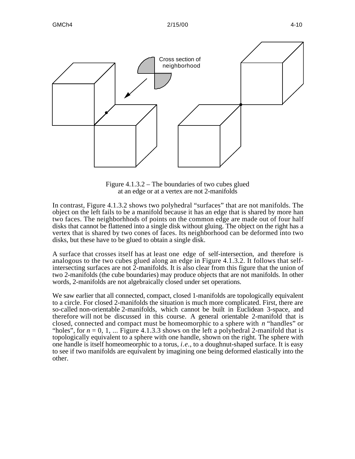



Figure 4.1.3.2 – The boundaries of two cubes glued at an edge or at a vertex are not 2-manifolds

In contrast, Figure 4.1.3.2 shows two polyhedral "surfaces" that are not manifolds. The object on the left fails to be a manifold because it has an edge that is shared by more han two faces. The neighborhhods of points on the common edge are made out of four half disks that cannot be flattened into a single disk without gluing. The object on the right has a vertex that is shared by two cones of faces. Its neighborhood can be deformed into two disks, but these have to be glued to obtain a single disk.

A surface that crosses itself has at least one edge of self-intersection, and therefore is analogous to the two cubes glued along an edge in Figure 4.1.3.2. It follows that selfintersecting surfaces are not 2-manifolds. It is also clear from this figure that the union of two 2-manifolds (the cube boundaries) may produce objects that are not manifolds. In other words, 2-manifolds are not algebraically closed under set operations.

We saw earlier that all connected, compact, closed 1-manifolds are topologically equivalent to a circle. For closed 2-manifolds the situation is much more complicated. First, there are so-called non-orientable 2-manifolds, which cannot be built in Euclidean 3-space, and therefore will not be discussed in this course. A general orientable 2-manifold that is closed, connected and compact must be homeomorphic to a sphere with *n* "handles" or "holes", for  $n = 0, 1, ...$  Figure 4.1.3.3 shows on the left a polyhedral 2-manifold that is topologically equivalent to a sphere with one handle, shown on the right. The sphere with one handle is itself homeomeorphic to a torus, *i.e.*, to a doughnut-shaped surface. It is easy to see if two manifolds are equivalent by imagining one being deformed elastically into the other.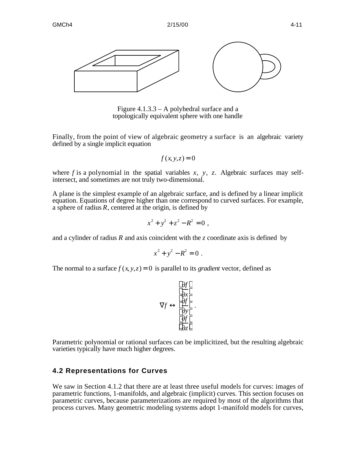

Figure 4.1.3.3 – A polyhedral surface and a topologically equivalent sphere with one handle

Finally, from the point of view of algebraic geometry a surface is an algebraic variety defined by a single implicit equation

 $f(x, y, z) = 0$ 

where  $f$  is a polynomial in the spatial variables  $x$ ,  $y$ ,  $z$ . Algebraic surfaces may selfintersect, and sometimes are not truly two-dimensional.

A plane is the simplest example of an algebraic surface, and is defined by a linear implicit equation. Equations of degree higher than one correspond to curved surfaces. For example, a sphere of radius *R*, centered at the origin, is defined by

$$
x^2 + y^2 + z^2 - R^2 = 0,
$$

and a cylinder of radius *R* and axis coincident with the *z* coordinate axis is defined by

$$
x^2 + y^2 - R^2 = 0.
$$

The normal to a surface  $f(x, y, z) = 0$  is parallel to its *gradient* vector, defined as

$$
\frac{\partial f}{\partial x} \\
 f \frac{\partial f}{\partial y} \\
 \frac{\partial f}{\partial z}
$$

.

Parametric polynomial or rational surfaces can be implicitized, but the resulting algebraic varieties typically have much higher degrees.

## **4.2 Representations for Curves**

We saw in Section 4.1.2 that there are at least three useful models for curves: images of parametric functions, 1-manifolds, and algebraic (implicit) curves. This section focuses on parametric curves, because parameterizations are required by most of the algorithms that process curves. Many geometric modeling systems adopt 1-manifold models for curves,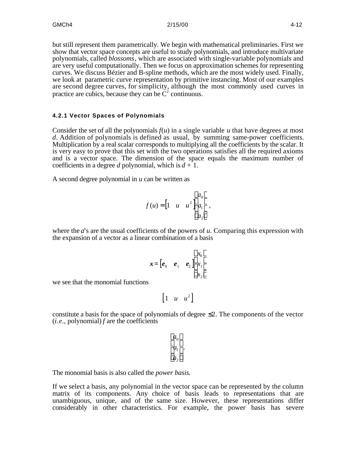but still represent them parametrically. We begin with mathematical preliminaries. First we show that vector space concepts are useful to study polynomials, and introduce multivariate polynomials, called *blossoms*, which are associated with single-variable polynomials and are very useful computationally. Then we focus on approximation schemes for representing curves. We discuss Bézier and B-spline methods, which are the most widely used. Finally, we look at parametric curve representation by primitive instancing. Most of our examples are second degree curves, for simplicity, although the most commonly used curves in practice are cubics, because they can be  $\dot{C}^2$  continuous.

#### **4.2.1 Vector Spaces of Polynomials**

Consider the set of all the polynomials  $f(u)$  in a single variable  $u$  that have degrees at most *d*. Addition of polynomials is defined as usual, by summing same-power coefficients. Multiplication by a real scalar corresponds to multiplying all the coefficients by the scalar. It is very easy to prove that this set with the two operations satisfies all the required axioms and is a vector space. The dimension of the space equals the maximum number of coefficients in a degree *d* polynomial, which is  $d + 1$ .

A second degree polynomial in *u* can be written as

$$
f(u) = \begin{bmatrix} 1 & u & u^2 \end{bmatrix} \begin{bmatrix} a_0 \\ a_1 \\ a_2 \end{bmatrix} ,
$$

where the *a*'s are the usual coefficients of the powers of *u*. Comparing this expression with the expansion of a vector as a linear combination of a basis

$$
\boldsymbol{x} = \begin{bmatrix} \boldsymbol{e}_0 & \boldsymbol{e}_1 & \boldsymbol{e}_2 \end{bmatrix} \begin{bmatrix} x_0 \\ x_1 \\ x_2 \end{bmatrix}
$$

we see that the monomial functions

$$
\begin{bmatrix} 1 & u & u^2 \end{bmatrix}
$$

constitute a basis for the space of polynomials of degree 2. The components of the vector (*i.e.*, polynomial) *f* are the coefficients

$$
a_0 a_1 a_2
$$

The monomial basis is also called the *power basis*.

If we select a basis, any polynomial in the vector space can be represented by the column matrix of its components. Any choice of basis leads to representations that are unambiguous, unique, and of the same size. However, these representations differ considerably in other characteristics. For example, the power basis has severe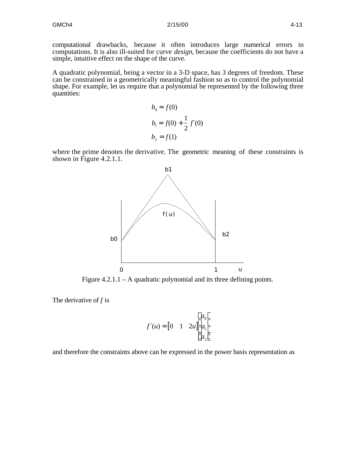computational drawbacks, because it often introduces large numerical errors in computations. It is also ill-suited for curve *design*, because the coefficients do not have a simple, intuitive effect on the shape of the curve.

A quadratic polynomial, being a vector in a 3-D space, has 3 degrees of freedom. These can be constrained in a geometrically meaningful fashion so as to control the polynomial shape. For example, let us require that a polynomial be represented by the following three quantities:

$$
b_0 = f(0)
$$
  
\n
$$
b_1 = f(0) + \frac{1}{2} f(0)
$$
  
\n
$$
b_2 = f(1)
$$

where the prime denotes the derivative. The geometric meaning of these constraints is shown in Figure 4.2.1.1.



Figure  $4.2.1.1 - A$  quadratic polynomial and its three defining points.

The derivative of *f* is

$$
f\left(u\right) = \begin{bmatrix} 0 & 1 & 2u \end{bmatrix} \begin{bmatrix} a_0 \\ a_1 \\ a_2 \end{bmatrix}
$$

and therefore the constraints above can be expressed in the power basis representation as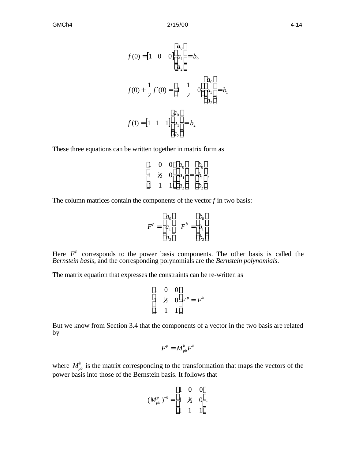$$
f(0) = \begin{bmatrix} 1 & 0 & 0 \end{bmatrix} \begin{bmatrix} a_0 \\ a_1 \\ a_2 \end{bmatrix} = b_0
$$
  

$$
f(0) + \frac{1}{2} f(0) = 1 \begin{bmatrix} a_0 \\ a_1 \\ a_2 \end{bmatrix}
$$
  

$$
f(1) = \begin{bmatrix} 1 & 1 & 1 \end{bmatrix} \begin{bmatrix} a_0 \\ a_1 \\ a_2 \end{bmatrix} = b_2
$$
  

$$
a_2
$$

These three equations can be written together in matrix form as

$$
\begin{array}{ccccccccc}\n1 & 0 & 0 & a_0 & b_0 \\
1 & k_2 & 0 & a_1 = b_1 \\
1 & 1 & 1 & a_2 & b_2\n\end{array}.
$$

The column matrices contain the components of the vector  $f$  in two basis:

$$
F^{p} = \begin{array}{cc} a_{0} & b_{0} \\ a_{1} & F^{b} = b_{1} \\ a_{2} & b_{2} \end{array}
$$

Here  $F^p$  corresponds to the power basis components. The other basis is called the *Bernstein basis*, and the corresponding polynomials are the *Bernstein polynomials*.

The matrix equation that expresses the constraints can be re-written as

$$
\begin{array}{ccc}\n1 & 0 & 0 \\
1 & \frac{1}{2} & 0 \ F^p = F^b \\
1 & 1 & 1\n\end{array}
$$

But we know from Section 3.4 that the components of a vector in the two basis are related by

$$
F^p = M_{pb}^b F^b
$$

where  $M_{pb}^b$  is the matrix corresponding to the transformation that maps the vectors of the power basis into those of the Bernstein basis. It follows that

$$
(M_{pb}^p)^{-1} = \begin{bmatrix} 1 & 0 & 0 \\ 1 & \frac{1}{2} & 0 \\ 1 & 1 & 1 \end{bmatrix}.
$$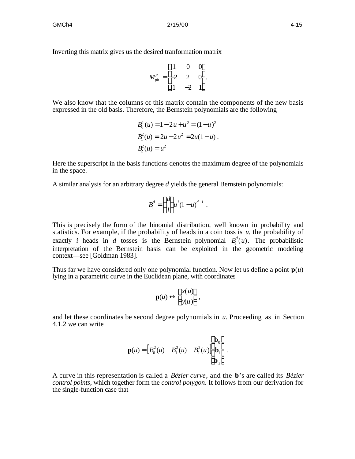Inverting this matrix gives us the desired tranformation matrix

$$
M_{pb}^p = \begin{bmatrix} 1 & 0 & 0 \\ -2 & 2 & 0 \\ 1 & -2 & 1 \end{bmatrix}.
$$

We also know that the columns of this matrix contain the components of the new basis expressed in the old basis. Therefore, the Bernstein polynomials are the following

$$
B_0^2(u) = 1 - 2u + u^2 = (1 - u)^2
$$
  
\n
$$
B_1^2(u) = 2u - 2u^2 = 2u(1 - u)
$$
  
\n
$$
B_2^2(u) = u^2
$$

Here the superscript in the basis functions denotes the maximum degree of the polynomials in the space.

A similar analysis for an arbitrary degree *d* yields the general Bernstein polynomials:

$$
B_i^d = \frac{d}{i} u^i (1-u)^{d-i}.
$$

This is precisely the form of the binomial distribution, well known in probability and statistics. For example, if the probability of heads in a coin toss is *u*, the probability of exactly *i* heads in *d* tosses is the Bernstein polynomial  $B_i^d(u)$ . The probabilistic interpretation of the Bernstein basis can be exploited in the geometric modeling context—see [Goldman 1983].

Thus far we have considered only one polynomial function. Now let us define a point  $p(u)$ lying in a parametric curve in the Euclidean plane, with coordinates

$$
\mathbf{p}(u) = \begin{cases} x(u) \\ y(u) \end{cases},
$$

and let these coordinates be second degree polynomials in *u*. Proceeding as in Section 4.1.2 we can write

$$
\mathbf{p}(u) = \begin{bmatrix} B_0^2(u) & B_1^2(u) & B_2^2(u) \end{bmatrix} \begin{bmatrix} \mathbf{b}_0 \\ \mathbf{b}_1 \\ \mathbf{b}_2 \end{bmatrix}.
$$

A curve in this representation is called a *Bézier curve*, and the **b**'s are called its *Bézier control points*, which together form the *control polygon*. It follows from our derivation for the single-function case that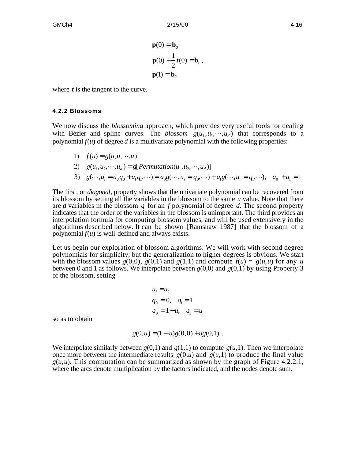$$
\mathbf{p}(0) = \mathbf{b}_0
$$
  

$$
\mathbf{p}(0) + \frac{1}{2}t(0) = \mathbf{b}_1,
$$
  

$$
\mathbf{p}(1) = \mathbf{b}_2
$$

where *t* is the tangent to the curve.

#### **4.2.2 Blossoms**

We now discuss the *blossoming* approach, which provides very useful tools for dealing with Bézier and spline curves. The *blossom*  $g(u_1, u_2, \dots, u_d)$  that corresponds to a polynomial  $f(u)$  of degree  $d$  is a multivariate polynomial with the following properties:

- 1)  $f(u) = g(u, u, \dots, u)$
- 2)  $g(u_1, u_2, \dots, u_d) = g[Permutation(u_1, u_2, \dots, u_d)]$
- 3)  $g(\cdots, u_i = a_0 q_0 + a_1 q_1, \cdots) = a_0 g(\cdots, u_i = q_0, \cdots) + a_1 g(\cdots, u_i = q_1, \cdots), \quad a_0 + a_1 = 1$

The first, or *diagonal*, property shows that the univariate polynomial can be recovered from its blossom by setting all the variables in the blossom to the same *u* value. Note that there are *d* variables in the blossom *g* for an *f* polynomial of degree *d*. The second property indicates that the order of the variables in the blossom is unimportant. The third provides an interpolation formula for computing blossom values, and will be used extensively in the algorithms described below. It can be shown [Ramshaw 1987] that the blossom of a polynomial *f*(*u*) is well-defined and always exists.

Let us begin our exploration of blossom algorithms. We will work with second degree polynomials for simplicity, but the generalization to higher degrees is obvious. We start with the blossom values  $g(0,0)$ ,  $g(0,1)$  and  $g(1,1)$  and compute  $f(u) = g(u,u)$  for any *u* between 0 and 1 as follows. We interpolate between  $g(0,0)$  and  $g(0,1)$  by using Property 3 of the blossom, setting

$$
u_i = u_2
$$
  
\n
$$
q_0 = 0, \quad q_1 = 1
$$
  
\n
$$
a_0 = 1 - u, \quad a_1 = u
$$

so as to obtain

$$
g(0, u) = (1 - u)g(0, 0) + ug(0, 1).
$$

We interpolate similarly between  $g(0,1)$  and  $g(1,1)$  to compute  $g(u,1)$ . Then we interpolate once more between the intermediate results  $g(0, u)$  and  $g(u, 1)$  to produce the final value  $g(u, u)$ . This computation can be summarized as shown by the graph of Figure 4.2.2.1, where the arcs denote multiplication by the factors indicated, and the nodes denote sum.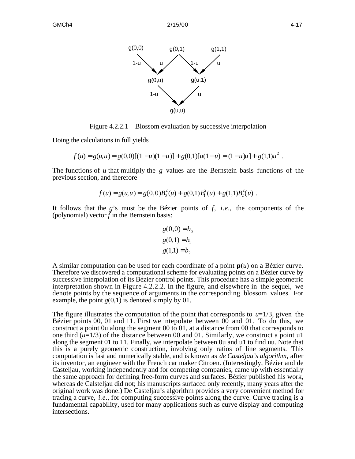

Figure 4.2.2.1 – Blossom evaluation by successive interpolation

Doing the calculations in full yields

$$
f(u) = g(u, u) = g(0, 0)[(1 - u)(1 - u)] + g(0, 1)[u(1 - u) = (1 - u)u] + g(1, 1)u^{2}.
$$

The functions of *u* that multiply the *g* values are the Bernstein basis functions of the previous section, and therefore

$$
f(u) = g(u, u) = g(0,0)B_0^2(u) + g(0,1)B_1^2(u) + g(1,1)B_2^2(u).
$$

It follows that the *g*'s must be the Bézier points of *f*, *i.e.*, the components of the (polynomial) vector  $\bar{f}$  in the Bernstein basis:

$$
g(0,0) = b_0
$$

$$
g(0,1) = b_1
$$

$$
g(1,1) = b_2
$$

A similar computation can be used for each coordinate of a point **p**(*u*) on a Bézier curve. Therefore we discovered a computational scheme for evaluating points on a Bézier curve by successive interpolation of its Bézier control points. This procedure has a simple geometric interpretation shown in Figure 4.2.2.2. In the figure, and elsewhere in the sequel, we denote points by the sequence of arguments in the corresponding blossom values. For example, the point  $g(0,1)$  is denoted simply by 01.

The figure illustrates the computation of the point that corresponds to  $u=1/3$ , given the Bézier points 00, 01 and 11. First we intepolate between 00 and 01. To do this, we construct a point 0u along the segment 00 to 01, at a distance from 00 that corresponds to one third (*u*=1/3) of the distance between 00 and 01. Similarly, we construct a point u1 along the segment 01 to 11. Finally, we interpolate between 0u and u1 to find uu. Note that this is a purely geometric construction, involving only ratios of line segments. This computation is fast and numerically stable, and is known as *de Casteljau's algorithm*, after its inventor, an engineer with the French car maker Citroën. (Interestingly, Bézier and de Casteljau, working independently and for competing companies, came up with essentially the same approach for defining free-form curves and surfaces. Bézier published his work, whereas de Calsteljau did not; his manuscripts surfaced only recently, many years after the original work was done.) De Casteljau's algorithm provides a very convenient method for tracing a curve, *i.e.*, for computing successive points along the curve. Curve tracing is a fundamental capability, used for many applications such as curve display and computing intersections.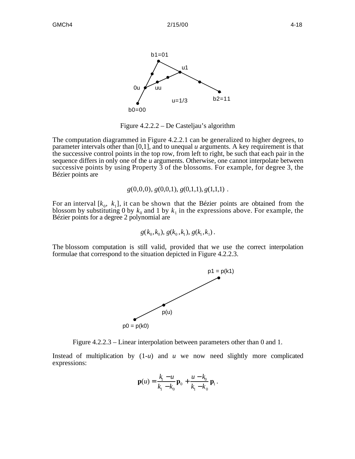

Figure 4.2.2.2 – De Casteljau's algorithm

The computation diagrammed in Figure 4.2.2.1 can be generalized to higher degrees, to parameter intervals other than [0,1], and to unequal *u* arguments. A key requirement is that the successive control points in the top row, from left to right, be such that each pair in the sequence differs in only one of the *u* arguments. Otherwise, one cannot interpolate between successive points by using Property 3 of the blossoms. For example, for degree 3, the Bézier points are

*g*(0,0,0), *g*(0,0,1), *g*(0,1,1), *g*(1,1,1) .

For an interval  $[k_0, k_1]$ , it can be shown that the Bézier points are obtained from the blossom by substituting 0 by  $k_0$  and 1 by  $k_1$  in the expressions above. For example, the Bézier points for a degree 2 polynomial are

$$
g(k_0,k_0), g(k_0,k_1), g(k_1,k_1).
$$

The blossom computation is still valid, provided that we use the correct interpolation formulae that correspond to the situation depicted in Figure 4.2.2.3.



Figure 4.2.2.3 – Linear interpolation between parameters other than 0 and 1.

Instead of multiplication by  $(1-u)$  and *u* we now need slightly more complicated expressions:

$$
\mathbf{p}(u) = \frac{k_1 - u}{k_1 - k_0} \, \mathbf{p}_0 + \frac{u - k_0}{k_1 - k_0} \, \mathbf{p}_1 \, .
$$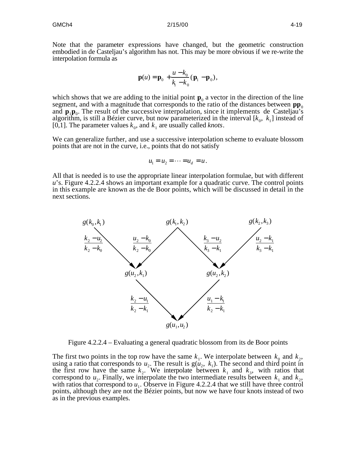Note that the parameter expressions have changed, but the geometric construction embodied in de Casteljau's algorithm has not. This may be more obvious if we re-write the interpolation formula as

$$
\mathbf{p}(u) = \mathbf{p}_0 + \frac{u - k_0}{k_1 - k_0} (\mathbf{p}_1 - \mathbf{p}_0),
$$

which shows that we are adding to the initial point  $\mathbf{p}_0$  a vector in the direction of the line segment, and with a magnitude that corresponds to the ratio of the distances between  $\mathbf{pp}_0$ and  $\mathbf{p}_1 \mathbf{p}_0$ . The result of the successive interpolation, since it implements de Casteljau's algorithm, is still a Bézier curve, but now parameterized in the interval  $[k_0, k_1]$  instead of [0,1]. The parameter values  $k_0$ , and  $k_1$  are usually called *knots*.

We can generalize further, and use a successive interpolation scheme to evaluate blossom points that are not in the curve, i.e., points that do not satisfy

$$
u_1 = u_2 = \cdots = u_d = u.
$$

All that is needed is to use the appropriate linear interpolation formulae, but with different *u*'s. Figure 4.2.2.4 shows an important example for a quadratic curve. The control points in this example are known as the de Boor points, which will be discussed in detail in the next sections.



Figure 4.2.2.4 – Evaluating a general quadratic blossom from its de Boor points

The first two points in the top row have the same  $k_1$ . We interpolate between  $k_0$  and  $k_2$ , using a ratio that corresponds to  $u_2$ . The result is  $g(u_2, k_1)$ . The second and third point in the first row have the same  $k_2$ . We interpolate between  $k_1$  and  $k_3$ , with ratios that correspond to  $u_2$ . Finally, we interpolate the two intermediate results between  $k_1$  and  $k_2$ , with ratios that correspond to  $u_1$ . Observe in Figure 4.2.2.4 that we still have three control points, although they are not the Bézier points, but now we have four knots instead of two as in the previous examples.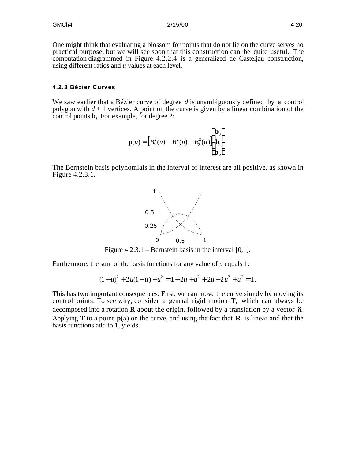One might think that evaluating a blossom for points that do not lie on the curve serves no practical purpose, but we will see soon that this construction can be quite useful. The computation diagrammed in Figure 4.2.2.4 is a generalized de Casteljau construction, using different ratios and *u* values at each level.

#### **4.2.3 Bézier Curves**

We saw earlier that a Bézier curve of degree *d* is unambiguously defined by a control polygon with  $d + 1$  vertices. A point on the curve is given by a linear combination of the control points  $\mathbf{b}_i$ . For example, for degree 2:

$$
\mathbf{p}(u) = \begin{bmatrix} B_0^2(u) & B_1^2(u) & B_2^2(u) \end{bmatrix} \begin{bmatrix} \mathbf{b}_0 \\ \mathbf{b}_1 \\ \mathbf{b}_2 \end{bmatrix}.
$$

The Bernstein basis polynomials in the interval of interest are all positive, as shown in Figure 4.2.3.1.



Figure  $4.2.3.1$  – Bernstein basis in the interval [0,1].

Furthermore, the sum of the basis functions for any value of *u* equals 1:

$$
(1-u)^2 + 2u(1-u) + u^2 = 1 - 2u + u^2 + 2u - 2u^2 + u^2 = 1.
$$

This has two important consequences. First, we can move the curve simply by moving its control points. To see why, consider a general rigid motion **T**, which can always be decomposed into a rotation **R** about the origin, followed by a translation by a vector  $\delta$ . Applying **T** to a point  $p(u)$  on the curve, and using the fact that **R** is linear and that the basis functions add to 1, yields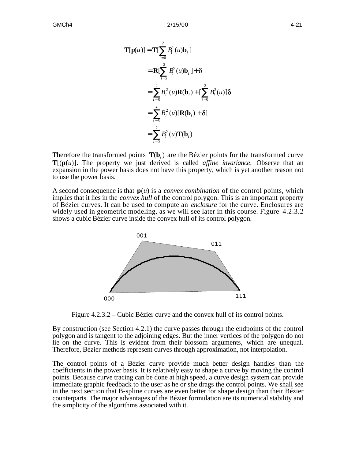$$
\mathbf{T}[\mathbf{p}(u)] = \mathbf{T} \Big[ \int_{i=0}^{2} B_i^2(u)\mathbf{b}_i \Big]
$$
  
\n
$$
= \mathbf{R} \Big[ \int_{i=0}^{2} B_i^2(u)\mathbf{b}_i \Big] + \delta
$$
  
\n
$$
= \int_{i=0}^{2} B_i^2(u)\mathbf{R}(\mathbf{b}_i) + \Big[ \int_{i=0}^{2} B_i^2(u) \Big] \delta
$$
  
\n
$$
= \int_{i=0}^{2} B_i^2(u)[\mathbf{R}(\mathbf{b}_i) + \delta]
$$
  
\n
$$
= \int_{i=0}^{2} B_i^2(u)\mathbf{T}(\mathbf{b}_i)
$$

Therefore the transformed points  $T(b_i)$  are the Bézier points for the transformed curve  $T[(p(u)]$ . The property we just derived is called *affine invariance*. Observe that an expansion in the power basis does not have this property, which is yet another reason not to use the power basis.

A second consequence is that **p**(*u*) is a *convex combination* of the control points, which implies that it lies in the *convex hull* of the control polygon. This is an important property of Bézier curves. It can be used to compute an *enclosure* for the curve. Enclosures are widely used in geometric modeling, as we will see later in this course. Figure 4.2.3.2 shows a cubic Bézier curve inside the convex hull of its control polygon.



Figure 4.2.3.2 – Cubic Bézier curve and the convex hull of its control points.

By construction (see Section 4.2.1) the curve passes through the endpoints of the control polygon and is tangent to the adjoining edges. But the inner vertices of the polygon do not lie on the curve. This is evident from their blossom arguments, which are unequal. Therefore, Bézier methods represent curves through approximation, not interpolation.

The control points of a Bézier curve provide much better design handles than the coefficients in the power basis. It is relatively easy to shape a curve by moving the control points. Because curve tracing can be done at high speed, a curve design system can provide immediate graphic feedback to the user as he or she drags the control points. We shall see in the next section that B-spline curves are even better for shape design than their Bézier counterparts. The major advantages of the Bézier formulation are its numerical stability and the simplicity of the algorithms associated with it.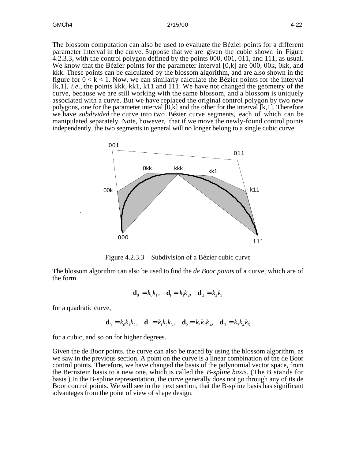#### GMCh4 2/15/00 4-22

The blossom computation can also be used to evaluate the Bézier points for a different parameter interval in the curve. Suppose that we are given the cubic shown in Figure 4.2.3.3, with the control polygon defined by the points 000, 001, 011, and 111, as usual. We know that the Bézier points for the parameter interval [0,k] are 000, 00k, 0kk, and kkk. These points can be calculated by the blossom algorithm, and are also shown in the figure for  $0 < k < 1$ . Now, we can similarly calculate the Bézier points for the interval [k,1], *i.e.*, the points kkk, kk1, k11 and 111. We have not changed the geometry of the curve, because we are still working with the same blossom, and a blossom is uniquely associated with a curve. But we have replaced the original control polygon by two new polygons, one for the parameter interval  $[0,k]$  and the other for the interval  $[k,1]$ . Therefore we have *subdivided* the curve into two Bézier curve segments, each of which can be manipulated separately. Note, however, that if we move the newly-found control points independently, the two segments in general will no longer belong to a single cubic curve.



Figure 4.2.3.3 – Subdivision of a Bézier cubic curve

The blossom algorithm can also be used to find the *de Boor points* of a curve, which are of the form

$$
\mathbf{d}_0 = k_0 k_1, \quad \mathbf{d}_1 = k_1 k_2, \quad \mathbf{d}_2 = k_2 k_3
$$

for a quadratic curve,

$$
\mathbf{d}_0 = k_0 k_1 k_2, \quad \mathbf{d}_1 = k_1 k_2 k_3, \quad \mathbf{d}_2 = k_2 k_3 k_4, \quad \mathbf{d}_3 = k_3 k_4 k_5
$$

for a cubic, and so on for higher degrees.

Given the de Boor points, the curve can also be traced by using the blossom algorithm, as we saw in the previous section. A point on the curve is a linear combination of the de Boor control points. Therefore, we have changed the basis of the polynomial vector space, from the Bernstein basis to a new one, which is called the *B-spline basis*. (The B stands for basis.) In the B-spline representation, the curve generally does not go through any of its de Boor control points. We will see in the next section, that the B-spline basis has significant advantages from the point of view of shape design.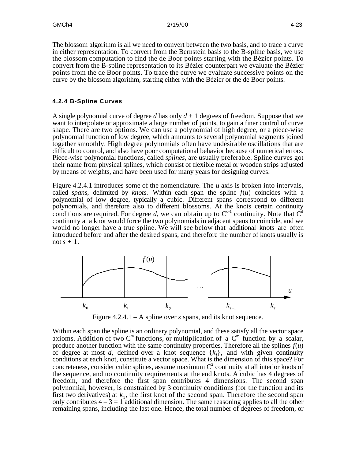The blossom algorithm is all we need to convert between the two basis, and to trace a curve in either representation. To convert from the Bernstein basis to the B-spline basis, we use the blossom computation to find the de Boor points starting with the Bézier points. To convert from the B-spline representation to its Bézier counterpart we evaluate the Bézier points from the de Boor points. To trace the curve we evaluate successive points on the curve by the blossom algorithm, starting either with the Bézier or the de Boor points.

#### **4.2.4 B-Spline Curves**

A single polynomial curve of degree *d* has only *d* + 1 degrees of freedom. Suppose that we want to interpolate or approximate a large number of points, to gain a finer control of curve shape. There are two options. We can use a polynomial of high degree, or a piece-wise polynomial function of low degree, which amounts to several polynomial segments joined together smoothly. High degree polynomials often have undesirable oscillations that are difficult to control, and also have poor computational behavior because of numerical errors. Piece-wise polynomial functions, called *splines*, are usually preferable. Spline curves got their name from physical splines, which consist of flexible metal or wooden strips adjusted by means of weights, and have been used for many years for designing curves.

Figure 4.2.4.1 introduces some of the nomenclature. The *u* axis is broken into intervals, called *spans*, delimited by *knots*. Within each span the spline  $f(u)$  coincides with a polynomial of low degree, typically a cubic. Different spans correspond to different polynomials, and therefore also to different blossoms. At the knots certain continuity conditions are required. For degree d, we can obtain up to  $C^{d-1}$  continuity. Note that  $C^d$ continuity at a knot would force the two polynomials in adjacent spans to coincide, and we would no longer have a true spline. We will see below that additional knots are often introduced before and after the desired spans, and therefore the number of knots usually is not  $s + 1$ .



Figure 4.2.4.1 – A spline over *s* spans, and its knot sequence.

Within each span the spline is an ordinary polynomial, and these satisfy all the vector space axioms. Addition of two  $C^m$  functions, or multiplication of a  $C^m$  function by a scalar, produce another function with the same continuity properties. Therefore all the splines  $f(u)$ of degree at most *d*, defined over a knot sequence  $\{k_i\}$ , and with given continuity conditions at each knot, constitute a vector space. What is the dimension of this space? For concreteness, consider cubic splines, assume maximum  $C^2$  continuity at all interior knots of the sequence, and no continuity requirements at the end knots. A cubic has 4 degrees of freedom, and therefore the first span contributes 4 dimensions. The second span polynomial, however, is constrained by 3 continuity conditions (for the function and its first two derivatives) at  $k_1$ , the first knot of the second span. Therefore the second span only contributes  $4 - 3 = 1$  additional dimension. The same reasoning applies to all the other remaining spans, including the last one. Hence, the total number of degrees of freedom, or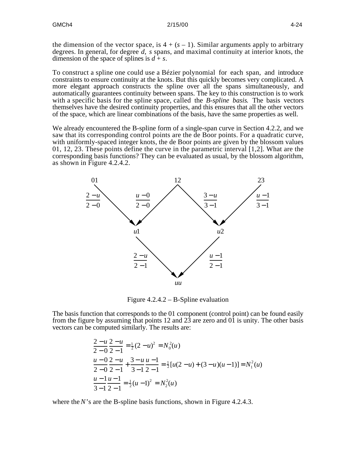the dimension of the vector space, is  $4 + (s - 1)$ . Similar arguments apply to arbitrary degrees. In general, for degree *d*, *s* spans, and maximal continuity at interior knots, the dimension of the space of splines is  $d + s$ .

To construct a spline one could use a Bézier polynomial for each span, and introduce constraints to ensure continuity at the knots. But this quickly becomes very complicated. A more elegant approach constructs the spline over all the spans simultaneously, and automatically guarantees continuity between spans. The key to this construction is to work with a specific basis for the spline space, called the *B-spline basis*. The basis vectors themselves have the desired continuity properties, and this ensures that all the other vectors of the space, which are linear combinations of the basis, have the same properties as well.

We already encountered the B-spline form of a single-span curve in Section 4.2.2, and we saw that its corresponding control points are the de Boor points. For a quadratic curve, with uniformly-spaced integer knots, the de Boor points are given by the blossom values 01, 12, 23. These points define the curve in the parametric interval [1,2]. What are the corresponding basis functions? They can be evaluated as usual, by the blossom algorithm, as shown in Figure 4.2.4.2.



Figure 4.2.4.2 – B-Spline evaluation

The basis function that corresponds to the 01 component (control point) can be found easily from the figure by assuming that points 12 and 23 are zero and 01 is unity. The other basis vectors can be computed similarly. The results are:

$$
\frac{2-u}{2-0} \frac{2-u}{2-1} = \frac{1}{2} (2-u)^2 = N_0^2(u)
$$
  

$$
\frac{u-0}{2-0} \frac{2-u}{2-1} + \frac{3-u}{3-1} \frac{u-1}{2-1} = \frac{1}{2} [u(2-u) + (3-u)(u-1)] = N_1^2(u)
$$
  

$$
\frac{u-1}{3-1} \frac{u-1}{2-1} = \frac{1}{2} (u-1)^2 = N_2^2(u)
$$

where the *N*'s are the B-spline basis functions, shown in Figure 4.2.4.3.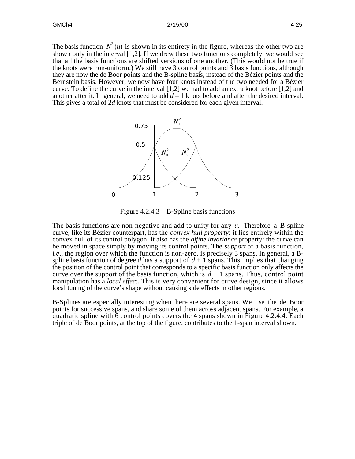The basis function  $N_1^2(u)$  is shown in its entirety in the figure, whereas the other two are shown only in the interval [1,2]. If we drew these two functions completely, we would see that all the basis functions are shifted versions of one another. (This would not be true if the knots were non-uniform.) We still have 3 control points and 3 basis functions, although they are now the de Boor points and the B-spline basis, instead of the Bézier points and the Bernstein basis. However, we now have four knots instead of the two needed for a Bézier curve. To define the curve in the interval [1,2] we had to add an extra knot before [1,2] and another after it. In general, we need to add  $d-1$  knots before and after the desired interval. This gives a total of 2*d* knots that must be considered for each given interval.



Figure 4.2.4.3 – B-Spline basis functions

The basis functions are non-negative and add to unity for any *u*. Therefore a B-spline curve, like its Bézier counterpart, has the *convex hull property*: it lies entirely within the convex hull of its control polygon. It also has the *affine invariance* property: the curve can be moved in space simply by moving its control points. The *support* of a basis function, *i.e*., the region over which the function is non-zero, is precisely 3 spans. In general, a Bspline basis function of degree *d* has a support of  $d + 1$  spans. This implies that changing the position of the control point that corresponds to a specific basis function only affects the curve over the support of the basis function, which is  $d+1$  spans. Thus, control point manipulation has a *local effec*t. This is very convenient for curve design, since it allows local tuning of the curve's shape without causing side effects in other regions.

B-Splines are especially interesting when there are several spans. We use the de Boor points for successive spans, and share some of them across adjacent spans. For example, a quadratic spline with  $\overline{6}$  control points covers the 4 spans shown in Figure 4.2.4.4. Each triple of de Boor points, at the top of the figure, contributes to the 1-span interval shown.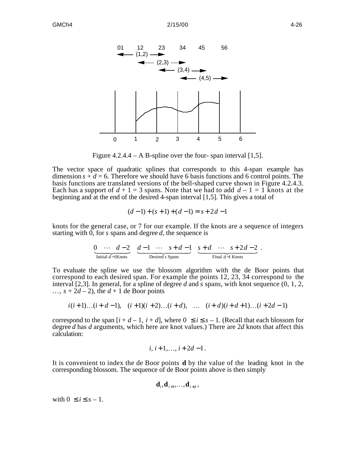

Figure 4.2.4.4 – A B-spline over the four- span interval [1,5].

The vector space of quadratic splines that corresponds to this 4-span example has dimension  $s + d = 6$ . Therefore we should have 6 basis functions and 6 control points. The basis functions are translated versions of the bell-shaped curve shown in Figure 4.2.4.3. Each has a support of  $d + 1 = 3$  spans. Note that we had to add  $d - 1 = 1$  knots at the beginning and at the end of the desired 4-span interval [1,5]. This gives a total of

$$
(d-1)+(s+1)+(d-1)=s+2d-1
$$

knots for the general case, or 7 for our example. If the knots are a sequence of integers starting with 0, for *s* spans and degree *d*, the sequence is

$$
\underbrace{0 \quad \cdots \quad d-2}_{\text{Initial } d-1 \text{ Knots}} \quad \underbrace{d-1 \quad \cdots \quad s+d-1}_{\text{Desired } s \text{ Spans}} \quad \underbrace{s+d \quad \cdots \quad s+2d-2}_{\text{Final } d-1 \text{ Knots}} \; .
$$

To evaluate the spline we use the blossom algorithm with the de Boor points that correspond to each desired span. For example the points 12, 23, 34 correspond to the interval [2,3]. In general, for a spline of degree *d* and *s* spans, with knot sequence (0, 1, 2, ...,  $s + 2d - 2$ ), the  $d + 1$  de Boor points

$$
i(i+1)...(i+d-1), (i+1)(i+2)...(i+d), ... (i+d)(i+d+1)...(i+2d-1)
$$

correspond to the span  $[i + d - 1, i + d]$ , where  $0$  *i*  $s - 1$ . (Recall that each blossom for degree *d* has *d* arguments, which here are knot values.) There are 2*d* knots that affect this calculation:

$$
i, i+1, \ldots, i+2d-1.
$$

It is convenient to index the de Boor points **d** by the value of the leading knot in the corresponding blossom. The sequence of de Boor points above is then simply

$$
\mathbf{d}_{i}, \mathbf{d}_{i+1}, \ldots, \mathbf{d}_{i+d},
$$

with  $0$  *i*  $s-1$ .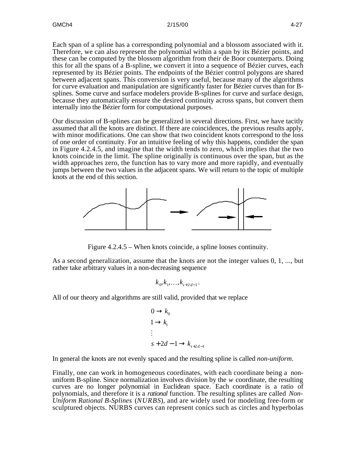Each span of a spline has a corresponding polynomial and a blossom associated with it. Therefore, we can also represent the polynomial within a span by its Bézier points, and these can be computed by the blossom algorithm from their de Boor counterparts. Doing this for all the spans of a B-spline, we convert it into a sequence of Bézier curves, each represented by its Bézier points. The endpoints of the Bézier control polygons are shared between adjacent spans. This conversion is very useful, because many of the algorithms for curve evaluation and manipulation are significantly faster for Bézier curves than for Bsplines. Some curve and surface modelers provide B-splines for curve and surface design, because they automatically ensure the desired continuity across spans, but convert them internally into the Bézier form for computational purposes.

Our discussion of B-splines can be generalized in several directions. First, we have tacitly assumed that all the knots are distinct. If there are coincidences, the previous results apply, with minor modifications. One can show that two coincident knots correspond to the loss of one order of continuity. For an intuitive feeling of why this happens, condider the span in Figure 4.2.4.5, and imagine that the width tends to zero, which implies that the two knots coincide in the limit. The spline originally is continuous over the span, but as the width approaches zero, the function has to vary more and more rapidly, and eventually jumps between the two values in the adjacent spans. We will return to the topic of multiple knots at the end of this section.



Figure 4.2.4.5 – When knots coincide, a spline looses continuity.

As a second generalization, assume that the knots are not the integer values 0, 1, ..., but rather take arbitrary values in a non-decreasing sequence

$$
k_0, k_1, \ldots, k_{s+2d-1}.
$$

All of our theory and algorithms are still valid, provided that we replace

0 
$$
k_0
$$
  
\n1  $k_1$   
\n $\vdots$   
\n $s + 2d - 1$   $k_{s+2d-1}$ 

In general the knots are not evenly spaced and the resulting spline is called *non-uniform*.

Finally, one can work in homogeneous coordinates, with each coordinate being a nonuniform B-spline. Since normalization involves division by the *w* coordinate, the resulting curves are no longer polynomial in Euclidean space. Each coordinate is a ratio of polynomials, and therefore it is a *rational* function. The resulting splines are called *Non-Uniform Rational B-Splines* (*NURBS*), and are widely used for modeling free-form or sculptured objects. NURBS curves can represent conics such as circles and hyperbolas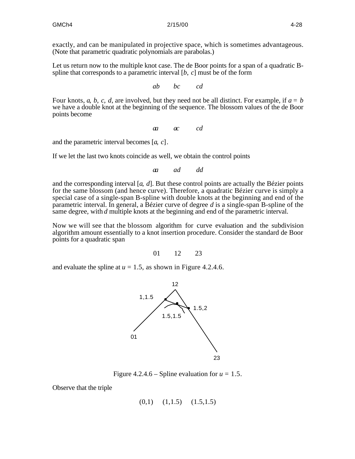exactly, and can be manipulated in projective space, which is sometimes advantageous. (Note that parametric quadratic polynomials are parabolas.)

Let us return now to the multiple knot case. The de Boor points for a span of a quadratic Bspline that corresponds to a parametric interval [*b*, *c*] must be of the form

*ab bc cd*

Four knots,  $a, b, c, d$ , are involved, but they need not be all distinct. For example, if  $a = b$ we have a double knot at the beginning of the sequence. The blossom values of the de Boor points become

*aa ac cd*

and the parametric interval becomes [*a*, *c*].

If we let the last two knots coincide as well, we obtain the control points

*aa ad dd*

and the corresponding interval  $[a, d]$ . But these control points are actually the Bézier points for the same blossom (and hence curve). Therefore, a quadratic Bézier curve is simply a special case of a single-span B-spline with double knots at the beginning and end of the parametric interval. In general, a Bézier curve of degree *d* is a single-span B-spline of the same degree, with *d* multiple knots at the beginning and end of the parametric interval.

Now we will see that the blossom algorithm for curve evaluation and the subdivision algorithm amount essentially to a knot insertion procedure. Consider the standard de Boor points for a quadratic span

01 12 23

and evaluate the spline at  $u = 1.5$ , as shown in Figure 4.2.4.6.



Figure 4.2.4.6 – Spline evaluation for  $u = 1.5$ .

Observe that the triple

$$
(0,1) \quad (1,1.5) \quad (1.5,1.5)
$$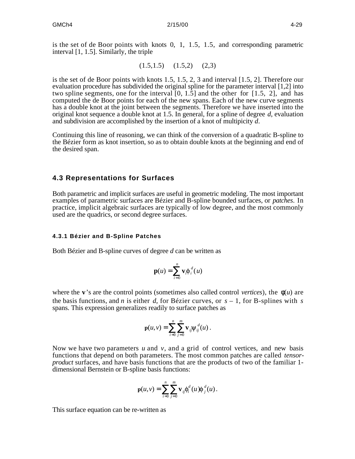is the set of de Boor points with knots 0, 1, 1.5, 1.5, and corresponding parametric interval [1, 1.5]. Similarly, the triple

$$
(1.5, 1.5) \quad (1.5, 2) \quad (2, 3)
$$

is the set of de Boor points with knots 1.5, 1.5, 2, 3 and interval [1.5, 2]. Therefore our evaluation procedure has subdivided the original spline for the parameter interval [1,2] into two spline segments, one for the interval [0, 1.5] and the other for [1.5, 2], and has computed the de Boor points for each of the new spans. Each of the new curve segments has a double knot at the joint between the segments. Therefore we have inserted into the original knot sequence a double knot at 1.5. In general, for a spline of degree *d*, evaluation and subdivision are accomplished by the insertion of a knot of multipicity *d*.

Continuing this line of reasoning, we can think of the conversion of a quadratic B-spline to the Bézier form as knot insertion, so as to obtain double knots at the beginning and end of the desired span.

# **4.3 Representations for Surfaces**

Both parametric and implicit surfaces are useful in geometric modeling. The most important examples of parametric surfaces are Bézier and B-spline bounded surfaces, or *patches*. In practice, implicit algebraic surfaces are typically of low degree, and the most commonly used are the quadrics, or second degree surfaces.

### **4.3.1 Bézier and B-Spline Patches**

Both Bézier and B-spline curves of degree *d* can be written as

$$
\mathbf{p}(u) = \int_{i=0}^{n} \mathbf{v}_{i} \phi_{i}^{d}(u)
$$

where the **v**'s are the control points (sometimes also called control *vertices*), the (*u*) are the basis functions, and *n* is either *d*, for Bézier curves, or *s* – 1, for B-splines with *s* spans. This expression generalizes readily to surface patches as

$$
\mathbf{p}(u,v)=\sum_{i=0}^{n-m}\mathbf{v}_{ij}\psi_{ij}^{d}(u).
$$

Now we have two parameters  $u$  and  $v$ , and a grid of control vertices, and new basis functions that depend on both parameters. The most common patches are called *tensorproduct* surfaces, and have basis functions that are the products of two of the familiar 1 dimensional Bernstein or B-spline basis functions:

$$
\mathbf{p}(u,v)=\sum_{i=0}^{n-m}\mathbf{v}_{ij}\phi_i^d(u)\phi_j^d(u).
$$

This surface equation can be re-written as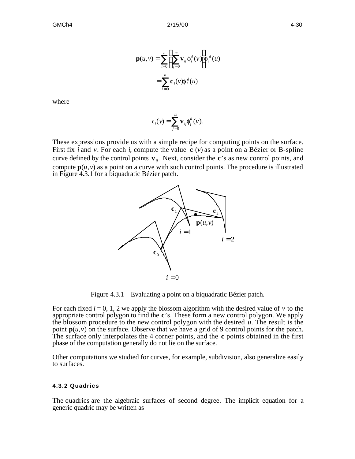$$
\mathbf{p}(u, v) = \sum_{i=0}^{n} \mathbf{v}_{ij} \phi_{j}^{d}(v) \phi_{i}^{d}(u)
$$

$$
= \sum_{i=0}^{n} \mathbf{c}_{i}(v) \phi_{i}^{d}(u)
$$

where

$$
\mathbf{c}_i(\nu) = \int_{j=0}^m \mathbf{v}_{ij} \phi_j^d(\nu).
$$

These expressions provide us with a simple recipe for computing points on the surface. First fix *i* and *v*. For each *i*, compute the value **c***<sup>i</sup>* (*v*) as a point on a Bézier or B-spline curve defined by the control points  $\mathbf{v}_{ij}$ . Next, consider the **c**'s as new control points, and compute  $p(u, v)$  as a point on a curve with such control points. The procedure is illustrated in Figure 4.3.1 for a biquadratic Bézier patch.



Figure 4.3.1 – Evaluating a point on a biquadratic Bézier patch.

For each fixed  $i = 0, 1, 2$  we apply the blossom algorithm with the desired value of  $\nu$  to the appropriate control polygon to find the **c**'s. These form a new control polygon. We apply the blossom procedure to the new control polygon with the desired *u*. The result is the point  $p(u, v)$  on the surface. Observe that we have a grid of 9 control points for the patch. The surface only interpolates the 4 corner points, and the **c** points obtained in the first phase of the computation generally do not lie on the surface.

Other computations we studied for curves, for example, subdivision, also generalize easily to surfaces.

#### **4.3.2 Quadrics**

The quadrics are the algebraic surfaces of second degree. The implicit equation for a generic quadric may be written as